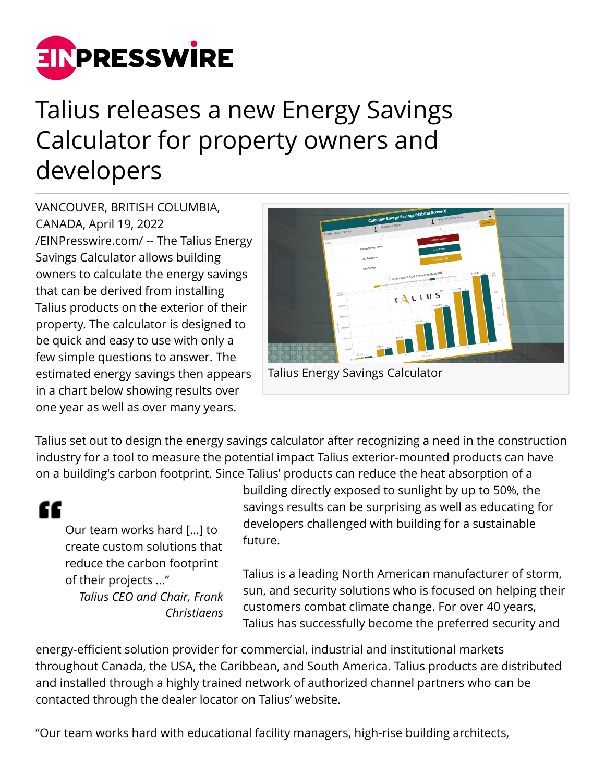

## Talius releases a new Energy Savings Calculator for property owners and developers

VANCOUVER, BRITISH COLUMBIA, CANADA, April 19, 2022 [/EINPresswire.com/](http://www.einpresswire.com) -- The Talius Energy Savings Calculator allows building owners to calculate the energy savings that can be derived from installing Talius products on the exterior of their property. The calculator is designed to be quick and easy to use with only a few simple questions to answer. The estimated energy savings then appears in a chart below showing results over one year as well as over many years.



Talius set out to design the energy savings calculator after recognizing a need in the construction industry for a tool to measure the potential impact Talius exterior-mounted products can have on a building's carbon footprint. Since Talius' products can reduce the heat absorption of a

## "

Our team works hard [...] to create custom solutions that reduce the carbon footprint of their projects ..." *Talius CEO and Chair, Frank Christiaens*

building directly exposed to sunlight by up to 50%, the savings results can be surprising as well as educating for developers challenged with building for a sustainable future.

Talius is a leading North American manufacturer of storm, sun, and security solutions who is focused on helping their customers combat climate change. For over 40 years, Talius has successfully become the preferred security and

energy-efficient solution provider for commercial, industrial and institutional markets throughout Canada, the USA, the Caribbean, and South America. Talius products are distributed and installed through a highly trained network of authorized channel partners who can be contacted through the dealer locator on Talius' website.

"Our team works hard with educational facility managers, high-rise building architects,